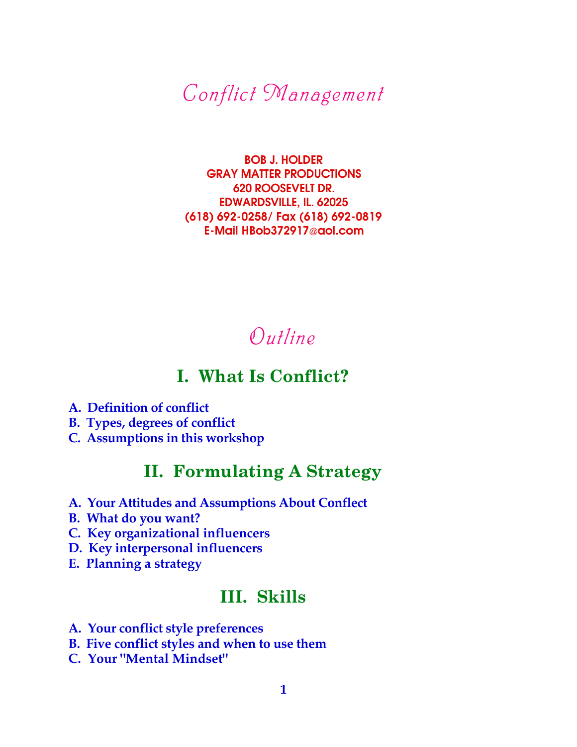*Conflict Management*

BOB J. HOLDER GRAY MATTER PRODUCTIONS 620 ROOSEVELT DR. EDWARDSVILLE, IL. 62025 (618) 692-0258/ Fax (618) 692-0819 E-Mail HBob372917@aol.com

# *Outline*

## **I. What Is Conflict?**

- **A. Definition of conflict**
- **B. Types, degrees of conflict**
- **C. Assumptions in this workshop**

# **II. Formulating A Strategy**

- **A. Your Attitudes and Assumptions About Conflect**
- **B. What do you want?**
- **C. Key organizational influencers**
- **D. Key interpersonal influencers**
- **E. Planning a strategy**

## **III. Skills**

- **A. Your conflict style preferences**
- **B. Five conflict styles and when to use them**
- **C. Your "Mental Mindset"**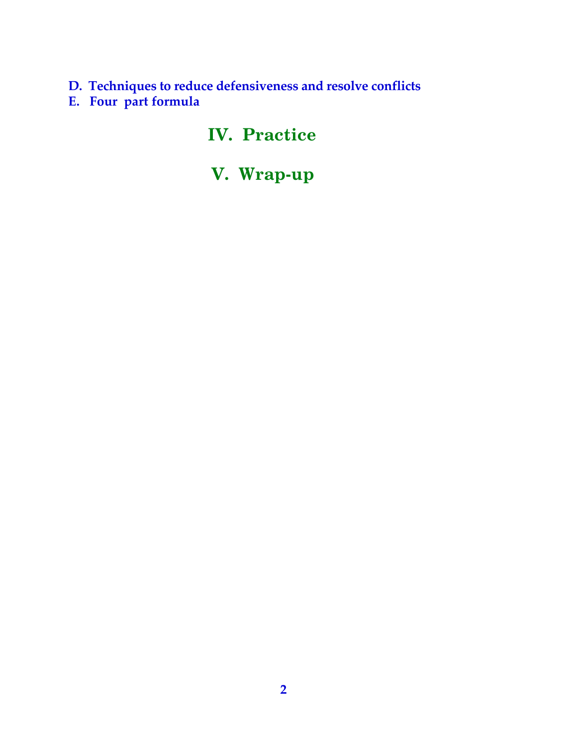**D. Techniques to reduce defensiveness and resolve conflicts E. Four part formula**

# **IV. Practice**

# **V. Wrap-up**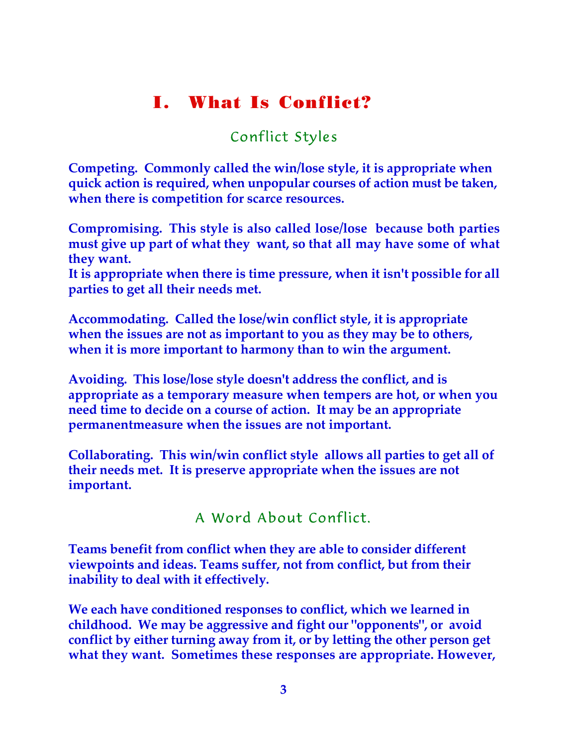# **I. What Is Conflict?**

### Conflict Styles

**Competing. Commonly called the win/lose style, it is appropriate when quick action is required, when unpopular courses of action must be taken, when there is competition for scarce resources.**

**Compromising. This style is also called lose/lose because both parties must give up part of what they want, so that all may have some of what they want.**

**It is appropriate when there is time pressure, when it isn't possible for all parties to get all their needs met.**

**Accommodating. Called the lose/win conflict style, it is appropriate when the issues are not as important to you as they may be to others, when it is more important to harmony than to win the argument.**

**Avoiding. This lose/lose style doesn't address the conflict, and is appropriate as a temporary measure when tempers are hot, or when you need time to decide on a course of action. It may be an appropriate permanentmeasure when the issues are not important.**

**Collaborating. This win/win conflict style allows all parties to get all of their needs met. It is preserve appropriate when the issues are not important.**

A Word About Conflict.

**Teams benefit from conflict when they are able to consider different viewpoints and ideas. Teams suffer, not from conflict, but from their inability to deal with it effectively.**

**We each have conditioned responses to conflict, which we learned in childhood. We may be aggressive and fight our "opponents", or avoid conflict by either turning away from it, or by letting the other person get what they want. Sometimes these responses are appropriate. However,**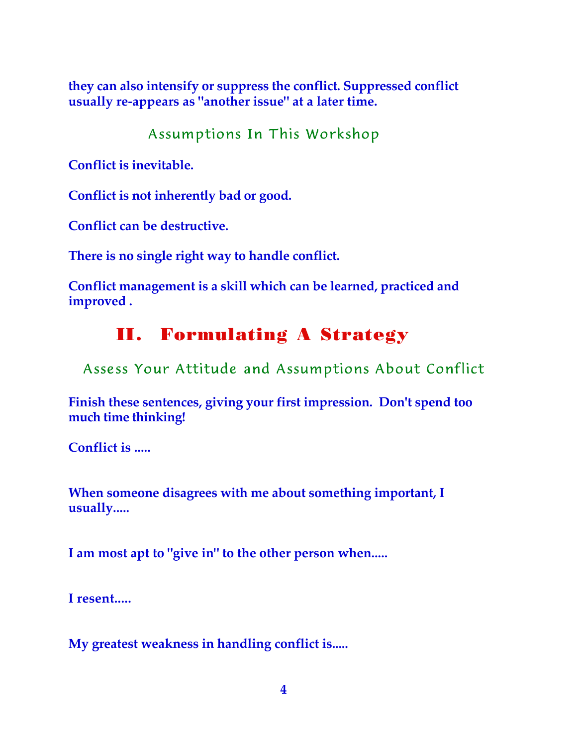**they can also intensify or suppress the conflict. Suppressed conflict usually re-appears as "another issue" at a later time.**

Assumptions In This Workshop

**Conflict is inevitable.**

**Conflict is not inherently bad or good.**

**Conflict can be destructive.**

**There is no single right way to handle conflict.**

**Conflict management is a skill which can be learned, practiced and improved .**

# **II. Formulating A Strategy**

Assess Your Attitude and Assumptions About Conflict

**Finish these sentences, giving your first impression. Don't spend too much time thinking!**

**Conflict is .....**

**When someone disagrees with me about something important, I usually.....**

**I am most apt to "give in" to the other person when.....**

**I resent.....**

**My greatest weakness in handling conflict is.....**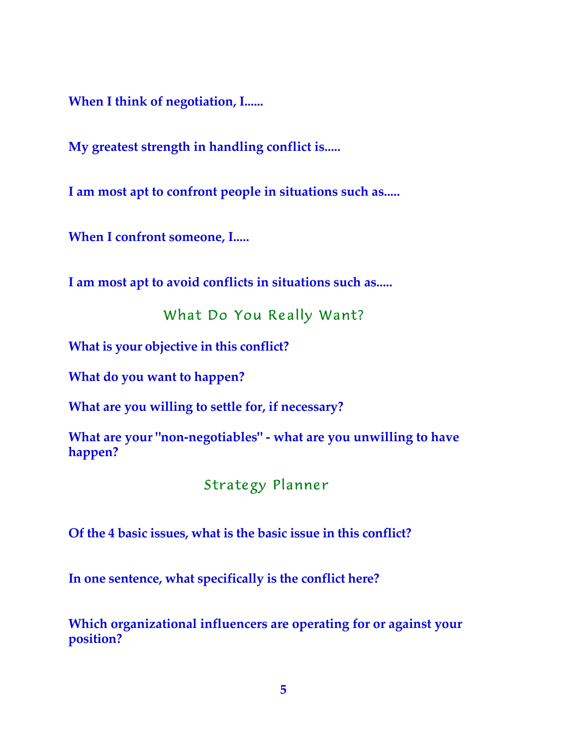**When I think of negotiation, I......**

**My greatest strength in handling conflict is.....**

**I am most apt to confront people in situations such as.....**

**When I confront someone, I.....**

**I am most apt to avoid conflicts in situations such as.....**

What Do You Really Want?

**What is your objective in this conflict?**

**What do you want to happen?**

**What are you willing to settle for, if necessary?**

**What are your "non-negotiables" - what are you unwilling to have happen?**

Strategy Planner

**Of the 4 basic issues, what is the basic issue in this conflict?**

**In one sentence, what specifically is the conflict here?**

**Which organizational influencers are operating for or against your position?**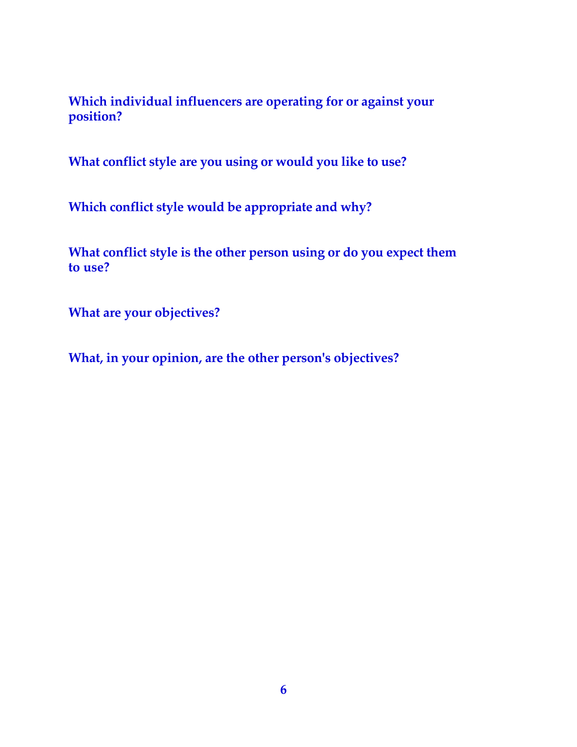**Which individual influencers are operating for or against your position?**

**What conflict style are you using or would you like to use?**

**Which conflict style would be appropriate and why?**

**What conflict style is the other person using or do you expect them to use?**

**What are your objectives?**

**What, in your opinion, are the other person's objectives?**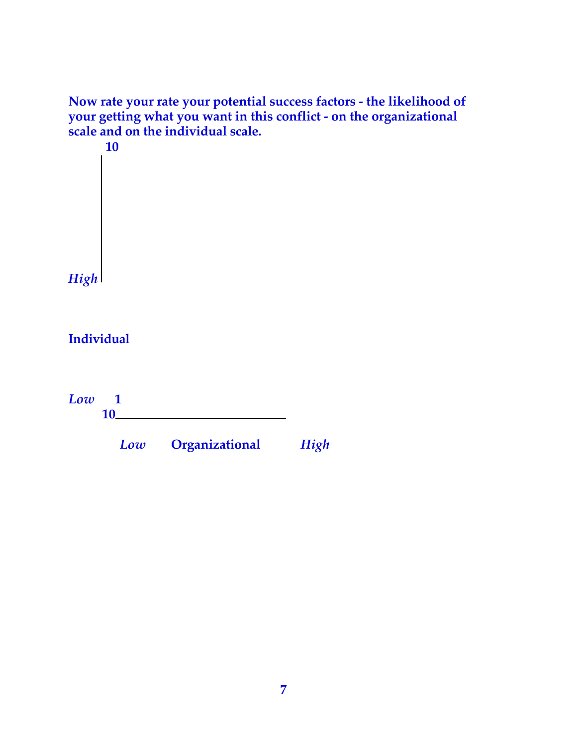**Now rate your rate your potential success factors - the likelihood of your getting what you want in this conflict - on the organizational scale and on the individual scale. 10**

*High*

**Individual**

*Low* **1 10**

*Low* **Organizational** *High*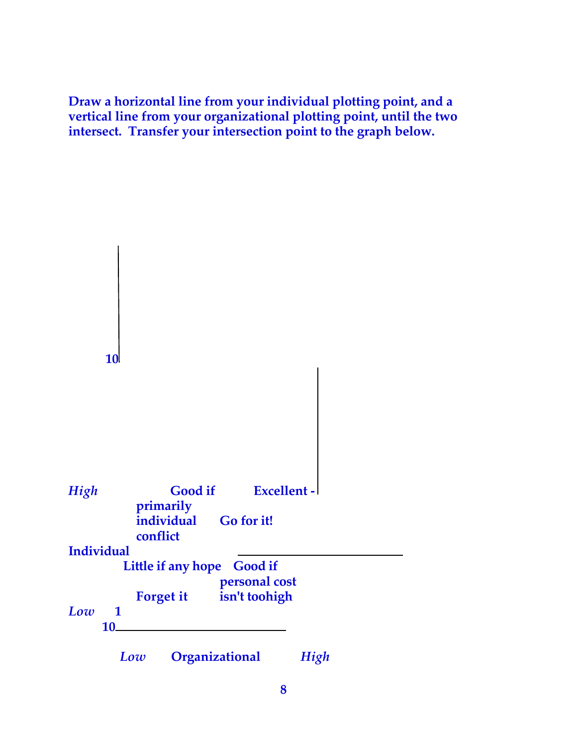**Draw a horizontal line from your individual plotting point, and a vertical line from your organizational plotting point, until the two intersect. Transfer your intersection point to the graph below.**

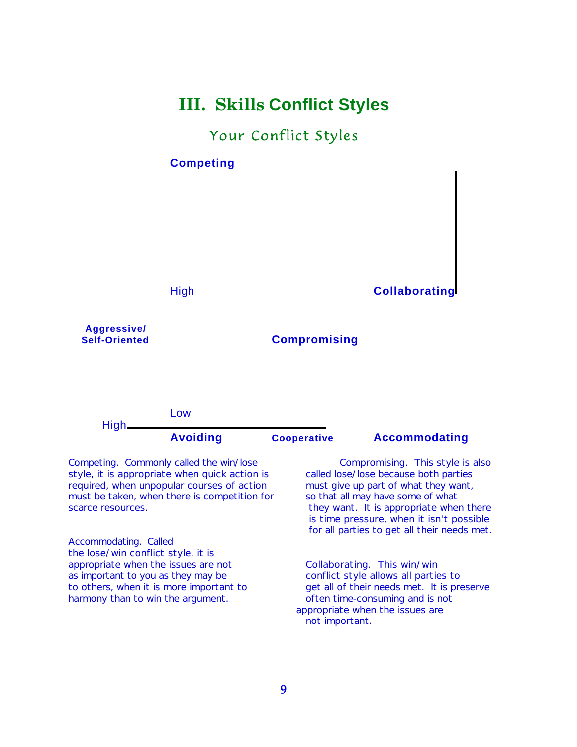# **III. Skills Conflict Styles**

#### Your Conflict Styles

#### **Competing**

#### High **Collaborating**

**Aggressive/**

#### **Compromising**

Low High **Avoiding Cooperative Accommodating**

style, it is appropriate when quick action is called lose/lose because both parties required, when unpopular courses of action must give up part of what they want, must be taken, when there is competition for so that all may have some of what scarce resources. They want. It is appropriate when there

Accommodating. Called the lose/win conflict style, it is appropriate when the issues are not Collaborating. This win/win as important to you as they may be conflict style allows all parties to harmony than to win the argument. The often time-consuming and is not

Competing. Commonly called the win/lose Compromising. This style is also is time pressure, when it isn't possible for all parties to get all their needs met.

to others, when it is more important to get all of their needs met. It is preserve appropriate when the issues are not important.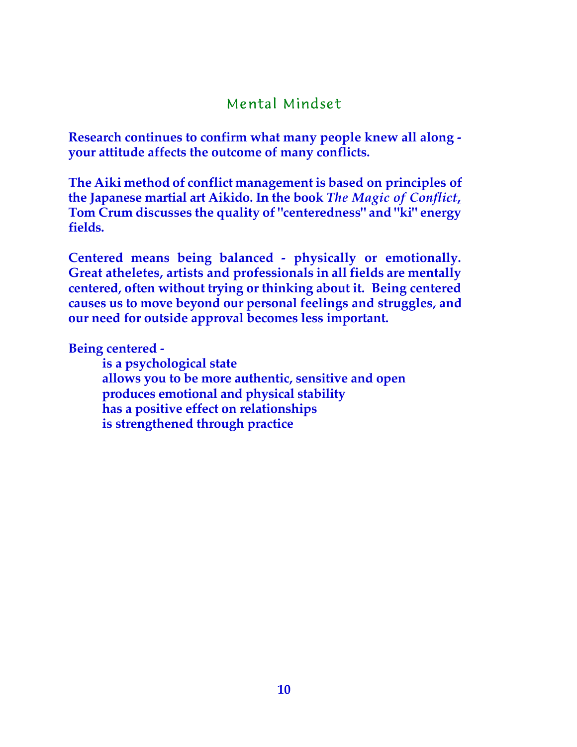### Mental Mindset

**Research continues to confirm what many people knew all along your attitude affects the outcome of many conflicts.**

**The Aiki method of conflict management is based on principles of the Japanese martial art Aikido. In the book** *The Magic of Conflict***, Tom Crum discusses the quality of "centeredness" and "ki" energy fields.**

**Centered means being balanced - physically or emotionally. Great atheletes, artists and professionals in all fields are mentally centered, often without trying or thinking about it. Being centered causes us to move beyond our personal feelings and struggles, and our need for outside approval becomes less important.**

**Being centered -**

**is a psychological state allows you to be more authentic, sensitive and open produces emotional and physical stability has a positive effect on relationships is strengthened through practice**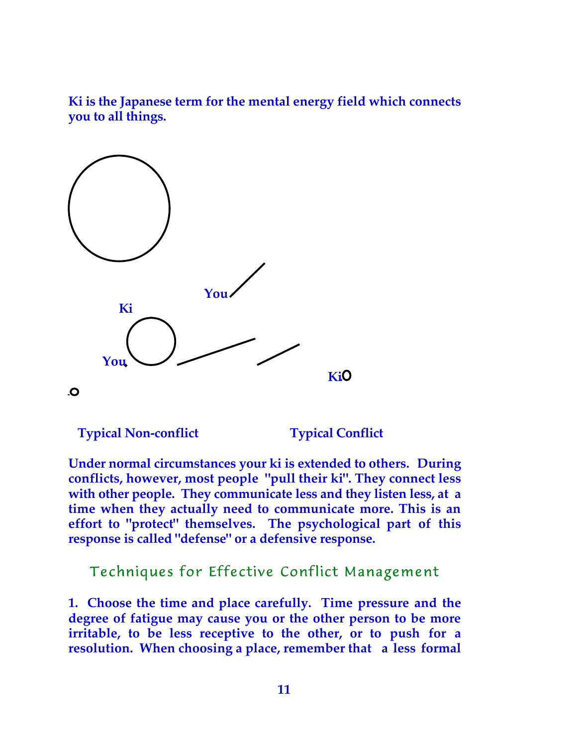**Ki is the Japanese term for the mental energy field which connects you to all things.**



**Typical Non-conflict Typical Conflict** 

**Under normal circumstances your ki is extended to others. During conflicts, however, most people "pull their ki". They connect less with other people. They communicate less and they listen less, at a time when they actually need to communicate more. This is an effort to "protect" themselves. The psychological part of this response is called "defense" or a defensive response.**

Techniques for Effective Conflict Management

**1. Choose the time and place carefully. Time pressure and the degree of fatigue may cause you or the other person to be more irritable, to be less receptive to the other, or to push for a resolution. When choosing a place, remember that a less formal**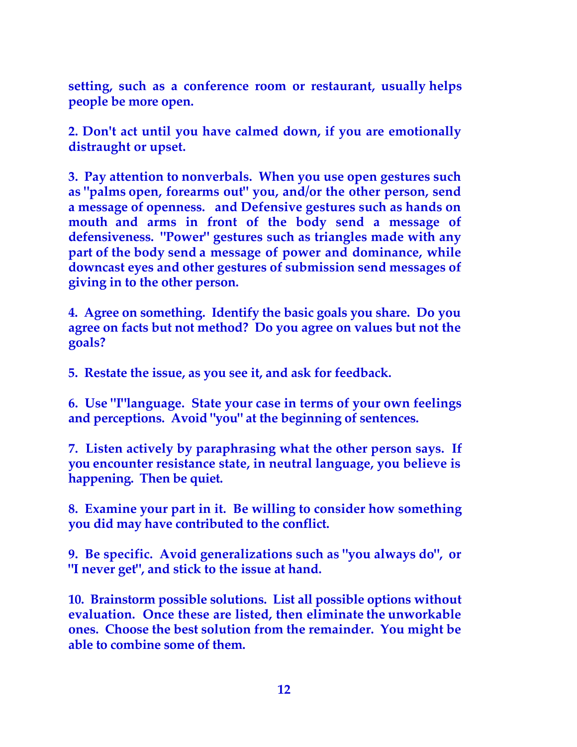**setting, such as a conference room or restaurant, usually helps people be more open.**

**2. Don't act until you have calmed down, if you are emotionally distraught or upset.**

**3. Pay attention to nonverbals. When you use open gestures such as "palms open, forearms out" you, and/or the other person, send a message of openness. and Defensive gestures such as hands on mouth and arms in front of the body send a message of defensiveness. "Power" gestures such as triangles made with any part of the body send a message of power and dominance, while downcast eyes and other gestures of submission send messages of giving in to the other person.**

**4. Agree on something. Identify the basic goals you share. Do you agree on facts but not method? Do you agree on values but not the goals?**

**5. Restate the issue, as you see it, and ask for feedback.**

**6. Use "I"language. State your case in terms of your own feelings and perceptions. Avoid "you" at the beginning of sentences.**

**7. Listen actively by paraphrasing what the other person says. If you encounter resistance state, in neutral language, you believe is happening. Then be quiet.**

**8. Examine your part in it. Be willing to consider how something you did may have contributed to the conflict.**

**9. Be specific. Avoid generalizations such as "you always do", or "I never get", and stick to the issue at hand.**

**10. Brainstorm possible solutions. List all possible options without evaluation. Once these are listed, then eliminate the unworkable ones. Choose the best solution from the remainder. You might be able to combine some of them.**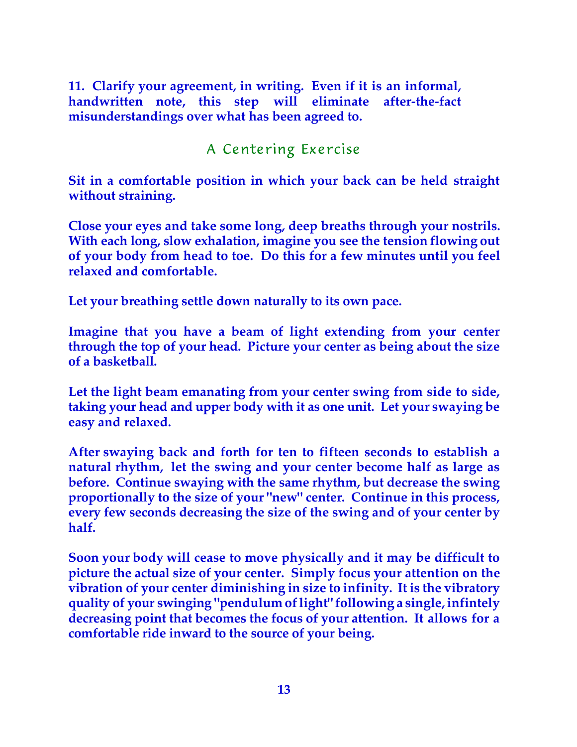**11. Clarify your agreement, in writing. Even if it is an informal, handwritten note, this step will eliminate after-the-fact misunderstandings over what has been agreed to.**

### A Centering Exercise

**Sit in a comfortable position in which your back can be held straight without straining.**

**Close your eyes and take some long, deep breaths through your nostrils. With each long, slow exhalation, imagine you see the tension flowing out of your body from head to toe. Do this for a few minutes until you feel relaxed and comfortable.**

**Let your breathing settle down naturally to its own pace.**

**Imagine that you have a beam of light extending from your center through the top of your head. Picture your center as being about the size of a basketball.**

**Let the light beam emanating from your center swing from side to side, taking your head and upper body with it as one unit. Let your swaying be easy and relaxed.**

**After swaying back and forth for ten to fifteen seconds to establish a natural rhythm, let the swing and your center become half as large as before. Continue swaying with the same rhythm, but decrease the swing proportionally to the size of your "new" center. Continue in this process, every few seconds decreasing the size of the swing and of your center by half.**

**Soon your body will cease to move physically and it may be difficult to picture the actual size of your center. Simply focus your attention on the vibration of your center diminishing in size to infinity. It is the vibratory quality of your swinging "pendulum of light" following a single, infintely decreasing point that becomes the focus of your attention. It allows for a comfortable ride inward to the source of your being.**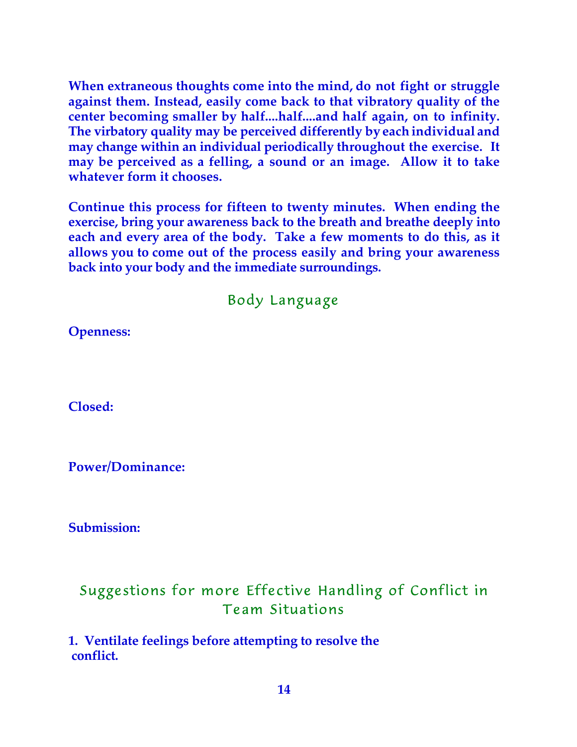**When extraneous thoughts come into the mind, do not fight or struggle against them. Instead, easily come back to that vibratory quality of the center becoming smaller by half....half....and half again, on to infinity. The virbatory quality may be perceived differently by each individual and may change within an individual periodically throughout the exercise. It may be perceived as a felling, a sound or an image. Allow it to take whatever form it chooses.**

**Continue this process for fifteen to twenty minutes. When ending the exercise, bring your awareness back to the breath and breathe deeply into each and every area of the body. Take a few moments to do this, as it allows you to come out of the process easily and bring your awareness back into your body and the immediate surroundings.**

Body Language

**Openness:**

**Closed:**

**Power/Dominance:**

**Submission:**

## Suggestions for more Effective Handling of Conflict in Team Situations

**1. Ventilate feelings before attempting to resolve the conflict.**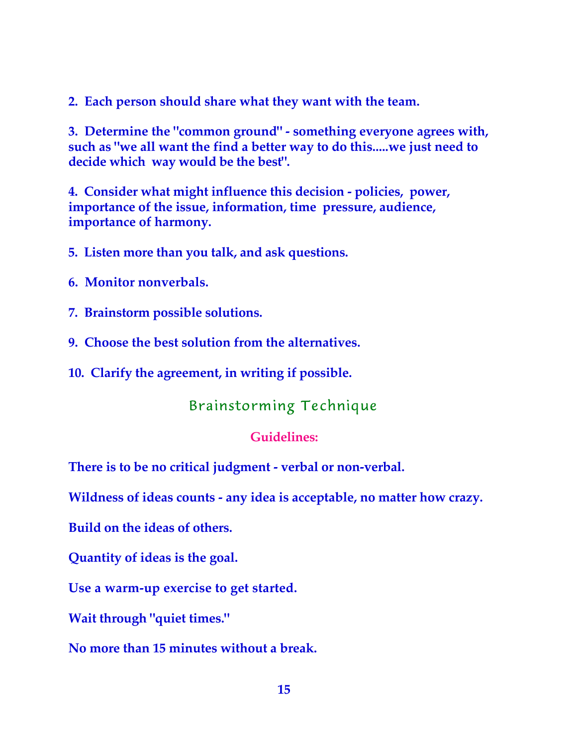**2. Each person should share what they want with the team.**

**3. Determine the "common ground" - something everyone agrees with, such as "we all want the find a better way to do this.....we just need to decide which way would be the best".**

**4. Consider what might influence this decision - policies, power, importance of the issue, information, time pressure, audience, importance of harmony.**

**5. Listen more than you talk, and ask questions.**

- **6. Monitor nonverbals.**
- **7. Brainstorm possible solutions.**
- **9. Choose the best solution from the alternatives.**

**10. Clarify the agreement, in writing if possible.**

### Brainstorming Technique

#### **Guidelines:**

**There is to be no critical judgment - verbal or non-verbal.**

**Wildness of ideas counts - any idea is acceptable, no matter how crazy.**

**Build on the ideas of others.**

**Quantity of ideas is the goal.**

**Use a warm-up exercise to get started.**

**Wait through "quiet times."**

**No more than 15 minutes without a break.**